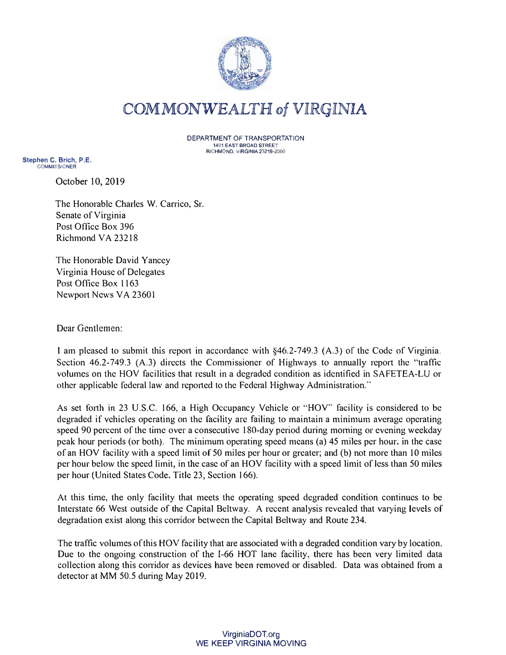

## COMMONWEALTH of VIRGINIA

DEPARTMENT OF TRANSPORTATION **1401 EAST BROAD STREET RICHMOND, VIRGINIA 23219-2000** 

**Stephen C. Brich, P.E. COMMISSIONER** 

October 10, 2019

The Honorable Charles W. Carrico, Sr. Senate of Virginia Post Office Box 396 Richmond VA 23218

The Honorable David Yancey Virginia House of Delegates Post Office Box l 163 Newport News VA 2360 l

Dear Gentlemen:

I am pleased to submit this report in accordance with §46.2-749.3 (A.3) of the Code of Virginia. Section 46.2-749.3 (A.3) directs the Commissioner of Highways to annually report the "traffic volumes on the HOV facilities that result in a degraded condition as identified in SAFETEA-LU or other applicable federal law and reported to the Federal Highway Administration."

As set forth in 23 U.S.C. 166, a High Occupancy Vehicle or "HOV" facility is considered to be degraded if vehicles operating on the facility arc failing to maintain a minimum average operating speed 90 percent of the time over a consecutive 180-day period during morning or evening weekday peak hour periods (or both). The minimum operating speed means (a) 45 miles per hour, in the case of an HOV facility with a speed limit of 50 miles per hour or greater; and (b) not more than IO miles per hour below the speed limit, in the case of an HOV facility with a speed limit of less than 50 miles per hour (United States Code, Title 23, Section 166).

At this time, the only facility that meets the operating speed degraded condition continues to be Interstate 66 West outside of the Capital Beltway. A recent analysis revealed that varying levels of degradation exist along this corridor between the Capital Beltway and Route 234.

The traffic volumes of this HOV facility that are associated with a degraded condition vary by location. Due to the ongoing construction of the I-66 HOT lane facility, there has been very limited data collection along this corridor as devices have been removed or disabled. Data was obtained from a detector at MM 50.5 during May 2019.